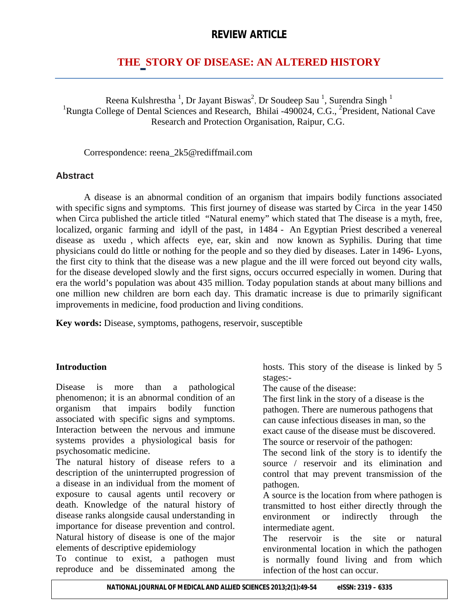# **REVIEW ARTICLE**

# **THE STORY OF DISEASE: AN ALTERED HISTORY**

Reena Kulshrestha  $^1$ , Dr Jayant Biswas<sup>2</sup>, Dr Soudeep Sau  $^1$ , Surendra Singh  $^1$ <sup>1</sup>Rungta College of Dental Sciences and Research, Bhilai -490024, C.G., <sup>2</sup>President, National Cave Research and Protection Organisation, Raipur, C.G.

Correspondence: reena\_2k5@rediffmail.com

#### **Abstract**

A disease is an abnormal condition of an organism that impairs bodily functions associated with specific signs and symptoms. This first journey of disease was started by Circa in the year 1450 when Circa published the article titled "Natural enemy" which stated that The disease is a myth, free, localized, organic farming and idyll of the past, in 1484 - An Egyptian Priest described a venereal disease as uxedu , which affects eye, ear, skin and now known as Syphilis. During that time physicians could do little or nothing for the people and so they died by diseases. Later in 1496- Lyons, the first city to think that the disease was a new plague and the ill were forced out beyond city walls, for the disease developed slowly and the first signs, occurs occurred especially in women. During that era the world's population was about 435 million. Today population stands at about many billions and one million new children are born each day. This dramatic increase is due to primarily significant improvements in medicine, food production and living conditions.

**Key words:** Disease, symptoms, pathogens, reservoir, susceptible

### **Introduction**

Disease is more than a pathological phenomenon; it is an abnormal condition of an organism that impairs bodily function associated with specific signs and symptoms. Interaction between the nervous and immune systems provides a physiological basis for psychosomatic medicine.

The natural history of disease refers to a description of the uninterrupted progression of a disease in an individual from the moment of exposure to causal agents until recovery or death. Knowledge of the natural history of disease ranks alongside causal understanding in importance for disease prevention and control. Natural history of disease is one of the major elements of descriptive epidemiology

To continue to exist, a pathogen must reproduce and be disseminated among the

hosts. This story of the disease is linked by 5 stages:-

The cause of the disease:

The first link in the story of a disease is the pathogen. There are numerous pathogens that can cause infectious diseases in man, so the exact cause of the disease must be discovered. The source or reservoir of the pathogen:

The second link of the story is to identify the source / reservoir and its elimination and control that may prevent transmission of the pathogen.

A source is the location from where pathogen is transmitted to host either directly through the environment or indirectly through the intermediate agent.

The reservoir is the site or natural environmental location in which the pathogen is normally found living and from which infection of the host can occur.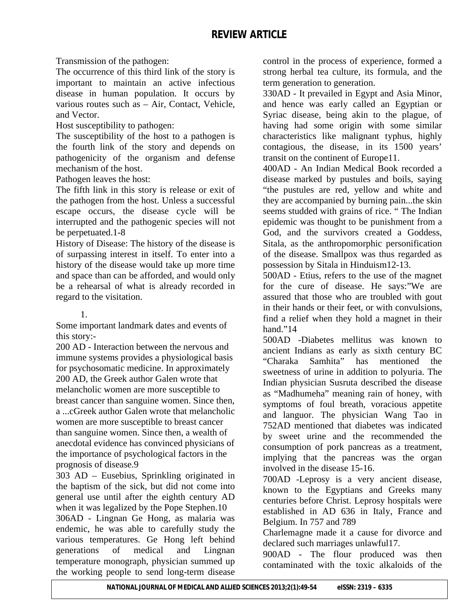Transmission of the pathogen:

The occurrence of this third link of the story is important to maintain an active infectious disease in human population. It occurs by various routes such as – Air, Contact, Vehicle, and Vector.

Host susceptibility to pathogen:

The susceptibility of the host to a pathogen is the fourth link of the story and depends on pathogenicity of the organism and defense mechanism of the host.

Pathogen leaves the host:

The fifth link in this story is release or exit of the pathogen from the host. Unless a successful escape occurs, the disease cycle will be interrupted and the pathogenic species will not be perpetuated.1-8

History of Disease: The history of the disease is of surpassing interest in itself. To enter into a history of the disease would take up more time and space than can be afforded, and would only be a rehearsal of what is already recorded in regard to the visitation.

#### 1.

Some important landmark dates and events of this story:-

200 AD - Interaction between the nervous and immune systems provides a physiological basis for psychosomatic medicine. In approximately 200 AD, the Greek author Galen wrote that melancholic women are more susceptible to breast cancer than sanguine women. Since then, a ...cGreek author Galen wrote that melancholic women are more susceptible to breast cancer than sanguine women. Since then, a wealth of anecdotal evidence has convinced physicians of the importance of psychological factors in the prognosis of disease.9

303 AD – Eusebius, Sprinkling originated in the baptism of the sick, but did not come into general use until after the eighth century AD when it was legalized by the Pope Stephen.10 306AD - Lingnan Ge Hong, as malaria was endemic, he was able to carefully study the various temperatures. Ge Hong left behind generations of medical and Lingnan temperature monograph, physician summed up the working people to send long-term disease

control in the process of experience, formed a strong herbal tea culture, its formula, and the term generation to generation.

330AD - It prevailed in Egypt and Asia Minor, and hence was early called an Egyptian or Syriac disease, being akin to the plague, of having had some origin with some similar characteristics like malignant typhus, highly contagious, the disease, in its 1500 years' transit on the continent of Europe11.

400AD - An Indian Medical Book recorded a disease marked by pustules and boils, saying "the pustules are red, yellow and white and they are accompanied by burning pain...the skin seems studded with grains of rice. " The Indian epidemic was thought to be punishment from a God, and the survivors created a Goddess, Sitala, as the anthropomorphic personification of the disease. Smallpox was thus regarded as possession by Sitala in Hinduism12-13.

500AD - Etius, refers to the use of the magnet for the cure of disease. He says:"We are assured that those who are troubled with gout in their hands or their feet, or with convulsions, find a relief when they hold a magnet in their hand."14

500AD -Diabetes mellitus was known to ancient Indians as early as sixth century BC "Charaka Samhita" has mentioned the sweetness of urine in addition to polyuria. The Indian physician Susruta described the disease as "Madhumeha" meaning rain of honey, with symptoms of foul breath, voracious appetite and languor. The physician Wang Tao in 752AD mentioned that diabetes was indicated by sweet urine and the recommended the consumption of pork pancreas as a treatment, implying that the pancreas was the organ involved in the disease 15-16.

700AD -Leprosy is a very ancient disease, known to the Egyptians and Greeks many centuries before Christ. Leprosy hospitals were established in AD 636 in Italy, France and Belgium. In 757 and 789

Charlemagne made it a cause for divorce and declared such marriages unlawful17.

900AD - The flour produced was then contaminated with the toxic alkaloids of the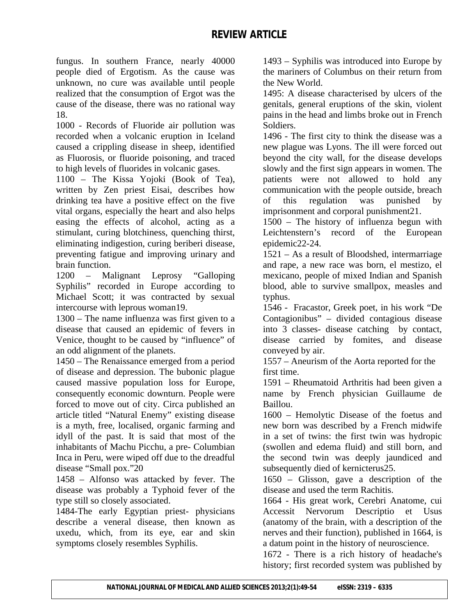fungus. In southern France, nearly 40000 people died of Ergotism. As the cause was unknown, no cure was available until people realized that the consumption of Ergot was the cause of the disease, there was no rational way 18.

1000 - Records of Fluoride air pollution was recorded when a volcanic eruption in Iceland caused a crippling disease in sheep, identified as Fluorosis, or fluoride poisoning, and traced to high levels of fluorides in volcanic gases.

1100 – The Kissa Yojoki (Book of Tea), written by Zen priest Eisai, describes how drinking tea have a positive effect on the five vital organs, especially the heart and also helps easing the effects of alcohol, acting as a stimulant, curing blotchiness, quenching thirst, eliminating indigestion, curing beriberi disease, preventing fatigue and improving urinary and brain function.

1200 – Malignant Leprosy "Galloping Syphilis" recorded in Europe according to Michael Scott; it was contracted by sexual intercourse with leprous woman19.

1300 – The name influenza was first given to a disease that caused an epidemic of fevers in Venice, thought to be caused by "influence" of an odd alignment of the planets.

1450 – The Renaissance emerged from a period of disease and depression. The bubonic plague caused massive population loss for Europe, consequently economic downturn. People were forced to move out of city. Circa published an article titled "Natural Enemy" existing disease is a myth, free, localised, organic farming and idyll of the past. It is said that most of the inhabitants of Machu Picchu, a pre- Columbian Inca in Peru, were wiped off due to the dreadful disease "Small pox."20

1458 – Alfonso was attacked by fever. The disease was probably a Typhoid fever of the type still so closely associated.

1484-The early Egyptian priest- physicians describe a veneral disease, then known as uxedu, which, from its eye, ear and skin symptoms closely resembles Syphilis.

1493 – Syphilis was introduced into Europe by the mariners of Columbus on their return from the New World.

1495: A disease characterised by ulcers of the genitals, general eruptions of the skin, violent pains in the head and limbs broke out in French Soldiers.

1496 - The first city to think the disease was a new plague was Lyons. The ill were forced out beyond the city wall, for the disease develops slowly and the first sign appears in women. The patients were not allowed to hold any communication with the people outside, breach of this regulation was punished by imprisonment and corporal punishment21.

1500 – The history of influenza begun with Leichtenstern's record of the European epidemic22-24.

1521 – As a result of Bloodshed, intermarriage and rape, a new race was born, el mestizo, el mexicano, people of mixed Indian and Spanish blood, able to survive smallpox, measles and typhus.

1546 - Fracastor, Greek poet, in his work "De Contagionibus" – divided contagious disease into 3 classes- disease catching by contact, disease carried by fomites, and disease conveyed by air.

1557 – Aneurism of the Aorta reported for the first time.

1591 – Rheumatoid Arthritis had been given a name by French physician Guillaume de Baillou.

1600 – Hemolytic Disease of the foetus and new born was described by a French midwife in a set of twins: the first twin was hydropic (swollen and edema fluid) and still born, and the second twin was deeply jaundiced and subsequently died of kernicterus25.

1650 – Glisson, gave a description of the disease and used the term Rachitis.

1664 - His great work, Cerebri Anatome, cui Accessit Nervorum Descriptio et Usus (anatomy of the brain, with a description of the nerves and their function), published in 1664, is a datum point in the history of neuroscience.

1672 - There is a rich history of headache's history; first recorded system was published by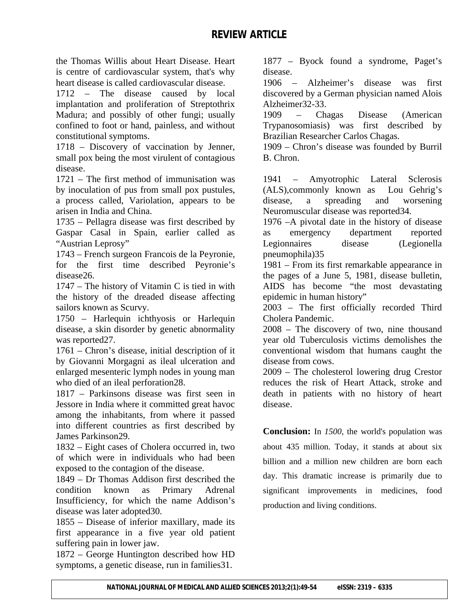the Thomas Willis about Heart Disease. Heart is centre of cardiovascular system, that's why heart disease is called cardiovascular disease.

1712 – The disease caused by local implantation and proliferation of Streptothrix Madura; and possibly of other fungi; usually confined to foot or hand, painless, and without constitutional symptoms.

1718 – Discovery of vaccination by Jenner, small pox being the most virulent of contagious disease.

1721 – The first method of immunisation was by inoculation of pus from small pox pustules, a process called, Variolation, appears to be arisen in India and China.

1735 – Pellagra disease was first described by Gaspar Casal in Spain, earlier called as "Austrian Leprosy"

1743 – French surgeon Francois de la Peyronie, for the first time described Peyronie's disease26.

1747 – The history of Vitamin C is tied in with the history of the dreaded disease affecting sailors known as Scurvy.

1750 – Harlequin ichthyosis or Harlequin disease, a skin disorder by genetic abnormality was reported27.

1761 – Chron's disease, initial description of it by Giovanni Morgagni as ileal ulceration and enlarged mesenteric lymph nodes in young man who died of an ileal perforation28.

1817 – Parkinsons disease was first seen in Jessore in India where it committed great havoc among the inhabitants, from where it passed into different countries as first described by James Parkinson29.

1832 – Eight cases of Cholera occurred in, two of which were in individuals who had been exposed to the contagion of the disease.

1849 – Dr Thomas Addison first described the condition known as Primary Adrenal Insufficiency, for which the name Addison's disease was later adopted30.

1855 – Disease of inferior maxillary, made its first appearance in a five year old patient suffering pain in lower jaw.

1872 – George Huntington described how HD symptoms, a genetic disease, run in families 31.

1877 – Byock found a syndrome, Paget's disease.

1906 – Alzheimer's disease was first discovered by a German physician named Alois Alzheimer32-33.

1909 – Chagas Disease (American Trypanosomiasis) was first described by Brazilian Researcher Carlos Chagas.

1909 – Chron's disease was founded by Burril B. Chron.

1941 – Amyotrophic Lateral Sclerosis (ALS),commonly known as Lou Gehrig's disease, a spreading and worsening Neuromuscular disease was reported34.

1976 –A pivotal date in the history of disease as emergency department reported Legionnaires disease (Legionella pneumophila)35

1981 – From its first remarkable appearance in the pages of a June 5, 1981, disease bulletin, AIDS has become "the most devastating epidemic in human history"

2003 – The first officially recorded Third Cholera Pandemic.

2008 – The discovery of two, nine thousand year old Tuberculosis victims demolishes the conventional wisdom that humans caught the disease from cows.

2009 – The cholesterol lowering drug Crestor reduces the risk of Heart Attack, stroke and death in patients with no history of heart disease.

**Conclusion:** In *1500*, the world's population was about 435 million. Today, it stands at about six billion and a million new children are born each day. This dramatic increase is primarily due to significant improvements in medicines, food production and living conditions.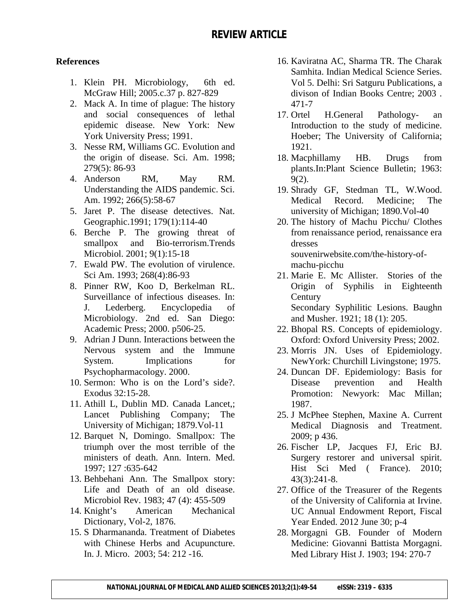### **References**

- 1. Klein PH. Microbiology, 6th ed. McGraw Hill; 2005.c.37 p. 827-829
- 2. Mack A. In time of plague: The history and social consequences of lethal epidemic disease. New York: New York University Press; 1991.
- 3. Nesse RM, Williams GC. Evolution and the origin of disease. Sci. Am. 1998; 279(5): 86-93
- 4. Anderson RM, May RM. Understanding the AIDS pandemic. Sci. Am. 1992; 266(5):58-67
- 5. Jaret P. The disease detectives. Nat. Geographic.1991; 179(1):114-40
- 6. Berche P. The growing threat of smallpox and Bio-terrorism.Trends Microbiol. 2001; 9(1):15-18
- 7. Ewald PW. The evolution of virulence. Sci Am. 1993; 268(4):86-93
- 8. Pinner RW, Koo D, Berkelman RL. Surveillance of infectious diseases. In: J. Lederberg. Encyclopedia of Microbiology. 2nd ed. San Diego: Academic Press; 2000. p506-25.
- 9. Adrian J Dunn. Interactions between the Nervous system and the Immune System. Implications for Psychopharmacology. 2000.
- 10. Sermon: Who is on the Lord's side?. Exodus 32:15-28.
- 11. Athill L, Dublin MD. Canada Lancet,; Lancet Publishing Company; The University of Michigan; 1879.Vol-11
- 12. Barquet N, Domingo. Smallpox: The triumph over the most terrible of the ministers of death. Ann. Intern. Med. 1997; 127 :635-642
- 13. Behbehani Ann. The Smallpox story: Life and Death of an old disease. Microbiol Rev. 1983; 47 (4): 455-509
- 14. Knight's American Mechanical Dictionary, Vol-2, 1876.
- 15. S Dharmananda. Treatment of Diabetes with Chinese Herbs and Acupuncture. In. J. Micro. 2003; 54: 212 -16.
- 16. Kaviratna AC, Sharma TR. The Charak Samhita. Indian Medical Science Series. Vol 5. Delhi: Sri Satguru Publications, a divison of Indian Books Centre; 2003 . 471-7
- 17. Ortel H.General Pathology- an Introduction to the study of medicine. Hoeber; The University of California; 1921.
- 18. Macphillamy HB. Drugs from plants.In:Plant Science Bulletin; 1963: 9(2).
- 19. Shrady GF, Stedman TL, W.Wood. Medical Record. Medicine; The university of Michigan; 1890.Vol-40
- 20. The history of Machu Picchu/ Clothes from renaissance period, renaissance era dresses souvenirwebsite.com/the-history-ofmachu-picchu
- 21. Marie E. Mc Allister. Stories of the Origin of Syphilis in Eighteenth **Century** Secondary Syphilitic Lesions. Baughn and Musher. 1921; 18 (1): 205.
- 22. Bhopal RS. Concepts of epidemiology. Oxford: Oxford University Press; 2002.
- 23. Morris JN. Uses of Epidemiology. NewYork: Churchill Livingstone; 1975.
- 24. Duncan DF. Epidemiology: Basis for Disease prevention and Health Promotion: Newyork: Mac Millan; 1987.
- 25. J McPhee Stephen, Maxine A. Current Medical Diagnosis and Treatment. 2009; p 436.
- 26. Fischer LP, Jacques FJ, Eric BJ. Surgery restorer and universal spirit. Hist Sci Med ( France). 2010; 43(3):241-8.
- 27. Office of the Treasurer of the Regents of the University of California at Irvine. UC Annual Endowment Report, Fiscal Year Ended. 2012 June 30; p-4
- 28. Morgagni GB. Founder of Modern Medicine: Giovanni Battista Morgagni. Med Library Hist J. 1903; 194: 270-7